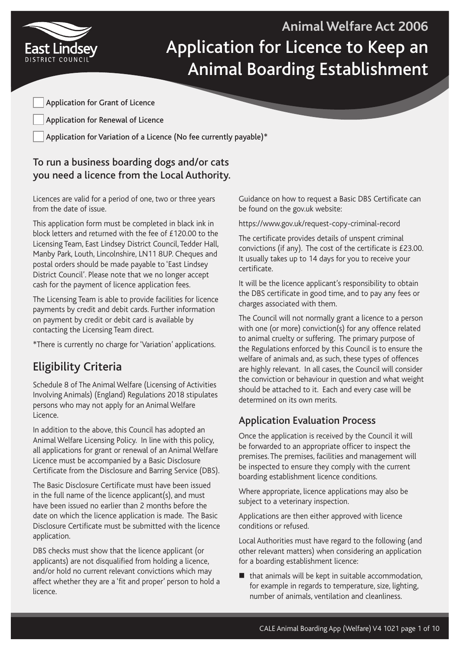

**Animal Welfare Act 2006** Application for Licence to Keep an Animal Boarding Establishment

Application for Grant of Licence

Application for Renewal of Licence

Application for Variation of a Licence (No fee currently payable)\*

# To run a business boarding dogs and/or cats you need a licence from the Local Authority.

Licences are valid for a period of one, two or three years from the date of issue.

This application form must be completed in black ink in block letters and returned with the fee of £120.00 to the Licensing Team, East Lindsey District Council, Tedder Hall, Manby Park, Louth, Lincolnshire, LN11 8UP. Cheques and postal orders should be made payable to 'East Lindsey District Council'. Please note that we no longer accept cash for the payment of licence application fees.

The Licensing Team is able to provide facilities for licence payments by credit and debit cards. Further information on payment by credit or debit card is available by contacting the Licensing Team direct.

\*There is currently no charge for 'Variation' applications.

# Eligibility Criteria

Schedule 8 of The Animal Welfare (Licensing of Activities Involving Animals) (England) Regulations 2018 stipulates persons who may not apply for an Animal Welfare Licence.

In addition to the above, this Council has adopted an Animal Welfare Licensing Policy. In line with this policy, all applications for grant or renewal of an Animal Welfare Licence must be accompanied by a Basic Disclosure Certificate from the Disclosure and Barring Service (DBS).

The Basic Disclosure Certificate must have been issued in the full name of the licence applicant(s), and must have been issued no earlier than 2 months before the date on which the licence application is made. The Basic Disclosure Certificate must be submitted with the licence application.

DBS checks must show that the licence applicant (or applicants) are not disqualified from holding a licence, and/or hold no current relevant convictions which may affect whether they are a 'fit and proper' person to hold a licence.

Guidance on how to request a Basic DBS Certificate can be found on the gov.uk website:

https://www.gov.uk/request-copy-criminal-record

The certificate provides details of unspent criminal convictions (if any). The cost of the certificate is £23.00. It usually takes up to 14 days for you to receive your certificate.

It will be the licence applicant's responsibility to obtain the DBS certificate in good time, and to pay any fees or charges associated with them.

The Council will not normally grant a licence to a person with one (or more) conviction(s) for any offence related to animal cruelty or suffering. The primary purpose of the Regulations enforced by this Council is to ensure the welfare of animals and, as such, these types of offences are highly relevant. In all cases, the Council will consider the conviction or behaviour in question and what weight should be attached to it. Each and every case will be determined on its own merits.

### Application Evaluation Process

Once the application is received by the Council it will be forwarded to an appropriate officer to inspect the premises. The premises, facilities and management will be inspected to ensure they comply with the current boarding establishment licence conditions.

Where appropriate, licence applications may also be subject to a veterinary inspection.

Applications are then either approved with licence conditions or refused.

Local Authorities must have regard to the following (and other relevant matters) when considering an application for a boarding establishment licence:

 $\blacksquare$  that animals will be kept in suitable accommodation, for example in regards to temperature, size, lighting, number of animals, ventilation and cleanliness.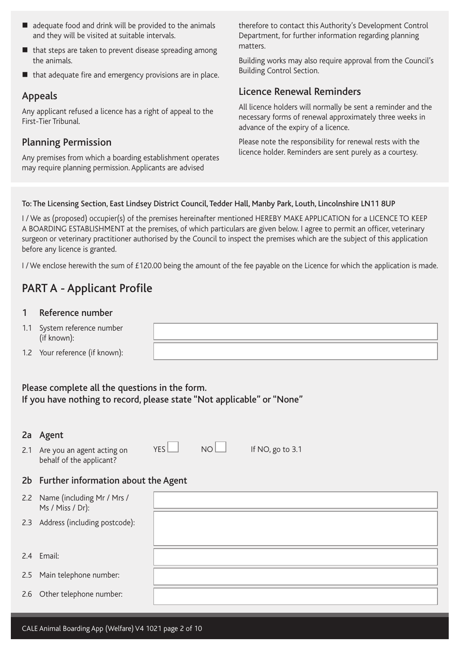- $\blacksquare$  adequate food and drink will be provided to the animals and they will be visited at suitable intervals.
- $\blacksquare$  that steps are taken to prevent disease spreading among the animals.
- that adequate fire and emergency provisions are in place.

### Appeals

Any applicant refused a licence has a right of appeal to the First-Tier Tribunal.

### Planning Permission

Any premises from which a boarding establishment operates may require planning permission. Applicants are advised

therefore to contact this Authority's Development Control Department, for further information regarding planning matters.

Building works may also require approval from the Council's Building Control Section.

### Licence Renewal Reminders

All licence holders will normally be sent a reminder and the necessary forms of renewal approximately three weeks in advance of the expiry of a licence.

Please note the responsibility for renewal rests with the licence holder. Reminders are sent purely as a courtesy.

#### To: The Licensing Section, East Lindsey District Council, Tedder Hall, Manby Park, Louth, Lincolnshire LN11 8UP

I / We as (proposed) occupier(s) of the premises hereinafter mentioned HEREBY MAKE APPLICATION for a LICENCE TO KEEP A BOARDING ESTABLISHMENT at the premises, of which particulars are given below. I agree to permit an officer, veterinary surgeon or veterinary practitioner authorised by the Council to inspect the premises which are the subject of this application before any licence is granted.

I/We enclose herewith the sum of £120.00 being the amount of the fee payable on the Licence for which the application is made.

# PART A - Applicant Profile

#### 1 Reference number

- 1.1 System reference number (if known):
- 1.2 Your reference (if known):

Please complete all the questions in the form. If you have nothing to record, please state "Not applicable" or "None"

#### 2a Agent

2.1 Are you an agent acting on behalf of the applicant?

 $YES$  NO If NO, go to 3.1

### 2b Further information about the Agent

| 2.2 Name (including Mr / Mrs /<br>Ms / Miss / Dr): |  |
|----------------------------------------------------|--|
| 2.3 Address (including postcode):                  |  |
| 2.4 Email:                                         |  |
| 2.5 Main telephone number:                         |  |
| 2.6 Other telephone number:                        |  |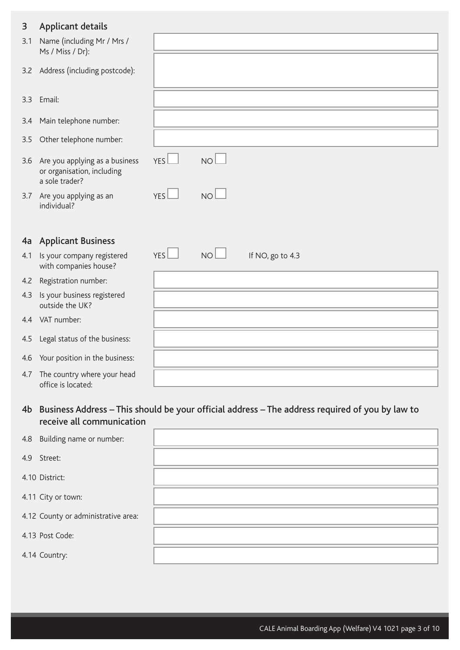### 3 Applicant details

| 3             | Applicant details                                                              |                  |                 |                  |
|---------------|--------------------------------------------------------------------------------|------------------|-----------------|------------------|
| 3.1           | Name (including Mr / Mrs /<br>Ms / Miss / Dr):                                 |                  |                 |                  |
|               | 3.2 Address (including postcode):                                              |                  |                 |                  |
| $3.3^{\circ}$ | Email:                                                                         |                  |                 |                  |
| 3.4           | Main telephone number:                                                         |                  |                 |                  |
| 3.5           | Other telephone number:                                                        |                  |                 |                  |
| 3.6           | Are you applying as a business<br>or organisation, including<br>a sole trader? | YES <sup>1</sup> | NO <sub>2</sub> |                  |
|               | 3.7 Are you applying as an<br>individual?                                      | YES              | NO              |                  |
| 4a            | <b>Applicant Business</b>                                                      |                  |                 |                  |
| 4.1           | Is your company registered<br>with companies house?                            | YES              | NO <sub>2</sub> | If NO, go to 4.3 |
|               | 4.2 Registration number:                                                       |                  |                 |                  |
| 4.3           | Is your business registered<br>outside the UK?                                 |                  |                 |                  |
|               | 4.4 VAT number:                                                                |                  |                 |                  |
| 4.5           | Legal status of the business:                                                  |                  |                 |                  |
| 4.6           | Your position in the business:                                                 |                  |                 |                  |
| 4.7           | The country where your head<br>office is located:                              |                  |                 |                  |

4b Business Address – This should be your official address – The address required of you by law to receive all communication

| 4.8 Building name or number:        |  |
|-------------------------------------|--|
| 4.9 Street:                         |  |
| 4.10 District:                      |  |
| 4.11 City or town:                  |  |
| 4.12 County or administrative area: |  |
| 4.13 Post Code:                     |  |
| 4.14 Country:                       |  |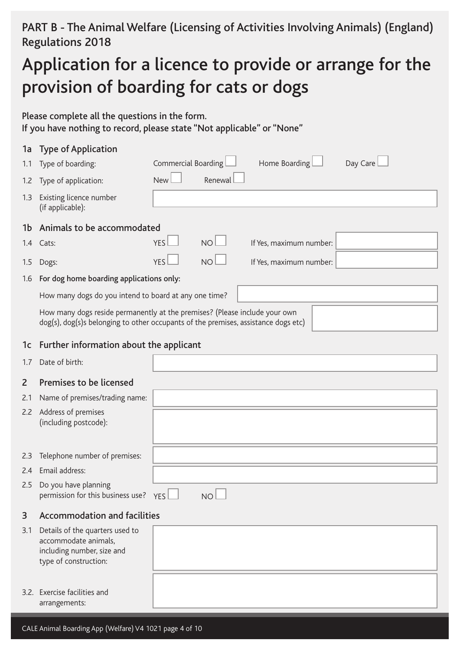# PART B - The Animal Welfare (Licensing of Activities Involving Animals) (England) Regulations 2018

# Application for a licence to provide or arrange for the provision of boarding for cats or dogs

Please complete all the questions in the form. If you have nothing to record, please state "Not applicable" or "None"

|     | 1a Type of Application                                                                                                                                           |                     |                 |                         |          |
|-----|------------------------------------------------------------------------------------------------------------------------------------------------------------------|---------------------|-----------------|-------------------------|----------|
| 1.1 | Type of boarding:                                                                                                                                                | Commercial Boarding |                 | Home Boarding           | Day Care |
| 1.2 | Type of application:                                                                                                                                             | New                 | Renewal         |                         |          |
| 1.3 | Existing licence number<br>(if applicable):                                                                                                                      |                     |                 |                         |          |
|     |                                                                                                                                                                  |                     |                 |                         |          |
|     | 1b Animals to be accommodated                                                                                                                                    |                     |                 |                         |          |
|     | 1.4 Cats:                                                                                                                                                        | <b>YES</b>          | NO <sub>1</sub> | If Yes, maximum number: |          |
| 1.5 | Dogs:                                                                                                                                                            | YES.                | NO <sub>1</sub> | If Yes, maximum number: |          |
| 1.6 | For dog home boarding applications only:                                                                                                                         |                     |                 |                         |          |
|     | How many dogs do you intend to board at any one time?                                                                                                            |                     |                 |                         |          |
|     | How many dogs reside permanently at the premises? (Please include your own<br>dog(s), dog(s)s belonging to other occupants of the premises, assistance dogs etc) |                     |                 |                         |          |

### 1c Further information about the applicant

1.7 Date of birth:

### 2 Premises to be licensed

- 2.1 Name of premises/trading name:
- 2.2 Address of premises (including postcode):
- 2.3 Telephone number of premises:
- 2.4 Email address:
- 2.5 Do you have planning  $permission$  for this business use?  $YES$   $\Box$  NO
	-
- 3 Accommodation and facilities

| 3.1 | Details of the quarters used to |
|-----|---------------------------------|
|     | accommodate animals,            |
|     | including number, size and      |
|     | type of construction:           |
|     |                                 |

3.2. Exercise facilities and arrangements: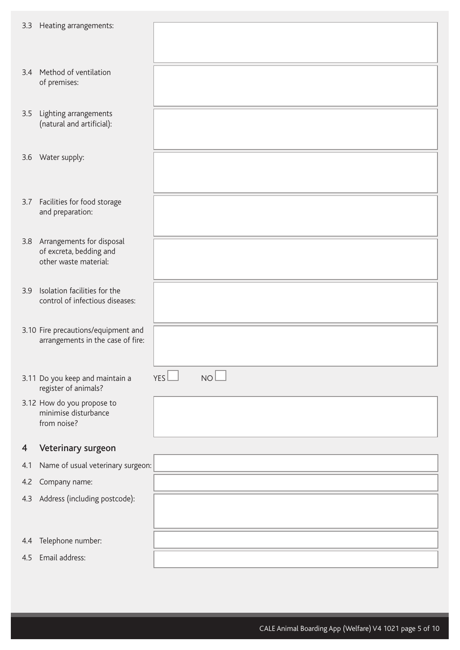| 3.3 | Heating arrangements:                                   |                               |
|-----|---------------------------------------------------------|-------------------------------|
|     |                                                         |                               |
|     | 3.4 Method of ventilation<br>of premises:               |                               |
|     |                                                         |                               |
| 3.5 | Lighting arrangements<br>(natural and artificial):      |                               |
|     |                                                         |                               |
|     | 3.6 Water supply:                                       |                               |
|     |                                                         |                               |
| 3.7 | Facilities for food storage                             |                               |
|     | and preparation:                                        |                               |
| 3.8 | Arrangements for disposal<br>of excreta, bedding and    |                               |
|     | other waste material:                                   |                               |
| 3.9 | Isolation facilities for the                            |                               |
|     | control of infectious diseases:                         |                               |
|     | 3.10 Fire precautions/equipment and                     |                               |
|     | arrangements in the case of fire:                       |                               |
|     |                                                         |                               |
|     | 3.11 Do you keep and maintain a<br>register of animals? | NO <sub>1</sub><br><b>YES</b> |
|     | 3.12 How do you propose to<br>minimise disturbance      |                               |
|     | from noise?                                             |                               |
| 4   | Veterinary surgeon                                      |                               |
| 4.1 | Name of usual veterinary surgeon:                       |                               |
| 4.2 | Company name:                                           |                               |
| 4.3 | Address (including postcode):                           |                               |
|     |                                                         |                               |
| 4.4 | Telephone number:                                       |                               |
| 4.5 | Email address:                                          |                               |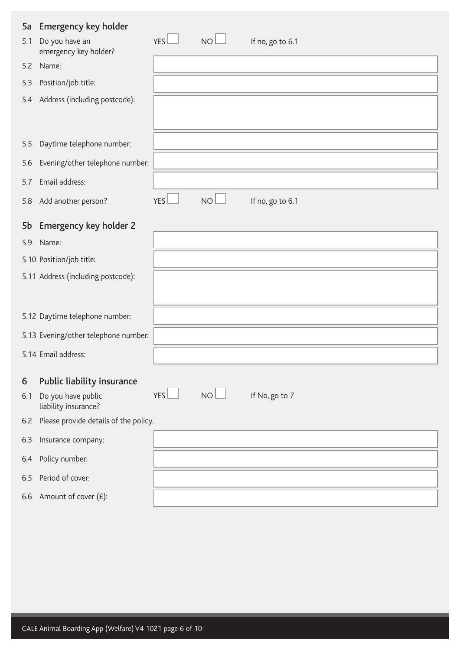| 5a  | <b>Emergency key holder</b>                |     |                 |                  |
|-----|--------------------------------------------|-----|-----------------|------------------|
| 5.1 | Do you have an<br>emergency key holder?    | YES | $NO+$           | If no, go to 6.1 |
| 5.2 | Name:                                      |     |                 |                  |
| 5.3 | Position/job title:                        |     |                 |                  |
| 5.4 | Address (including postcode):              |     |                 |                  |
| 5.5 | Daytime telephone number:                  |     |                 |                  |
| 5.6 | Evening/other telephone number:            |     |                 |                  |
| 5.7 | Email address:                             |     |                 |                  |
| 5.8 | Add another person?                        | YES | NO <sub>l</sub> | If no, go to 6.1 |
| 5b  | <b>Emergency key holder 2</b>              |     |                 |                  |
| 5.9 | Name:                                      |     |                 |                  |
|     | 5.10 Position/job title:                   |     |                 |                  |
|     | 5.11 Address (including postcode):         |     |                 |                  |
|     | 5.12 Daytime telephone number:             |     |                 |                  |
|     | 5.13 Evening/other telephone number:       |     |                 |                  |
|     | 5.14 Email address:                        |     |                 |                  |
| 6   | Public liability insurance                 |     |                 |                  |
| 6.1 | Do you have public<br>liability insurance? | YES | NO <sub>2</sub> | If No, go to 7   |
| 6.2 | Please provide details of the policy.      |     |                 |                  |
| 6.3 | Insurance company:                         |     |                 |                  |
| 6.4 | Policy number:                             |     |                 |                  |
| 6.5 | Period of cover:                           |     |                 |                  |
|     | 6.6 Amount of cover $(E)$ :                |     |                 |                  |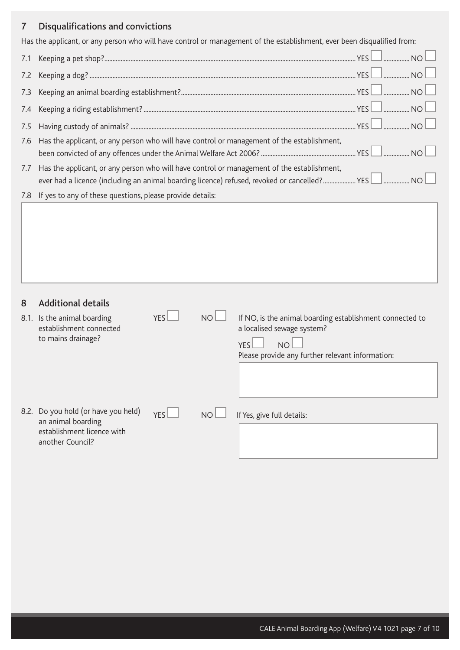## 7 Disqualifications and convictions

Has the applicant, or any person who will have control or management of the establishment, ever been disqualified from:

| 7.1 |                                                                                                |  |
|-----|------------------------------------------------------------------------------------------------|--|
| 7.2 |                                                                                                |  |
| 7.3 |                                                                                                |  |
| 7.4 |                                                                                                |  |
| 7.5 |                                                                                                |  |
|     | 7.6 Has the applicant, or any person who will have control or management of the establishment, |  |
| 7.7 | Has the applicant, or any person who will have control or management of the establishment,     |  |
| 7.8 | If yes to any of these questions, please provide details:                                      |  |

| 8 | <b>Additional details</b>                                                                                   |            |                 |                                                                                                                                                                 |
|---|-------------------------------------------------------------------------------------------------------------|------------|-----------------|-----------------------------------------------------------------------------------------------------------------------------------------------------------------|
|   | 8.1. Is the animal boarding<br>establishment connected<br>to mains drainage?                                | <b>YES</b> | NO <sub>1</sub> | If NO, is the animal boarding establishment connected to<br>a localised sewage system?<br><b>YFS</b><br>N()<br>Please provide any further relevant information: |
|   |                                                                                                             |            |                 |                                                                                                                                                                 |
|   | 8.2. Do you hold (or have you held)<br>an animal boarding<br>establishment licence with<br>another Council? | YFS        | <b>NO</b>       | If Yes, give full details:                                                                                                                                      |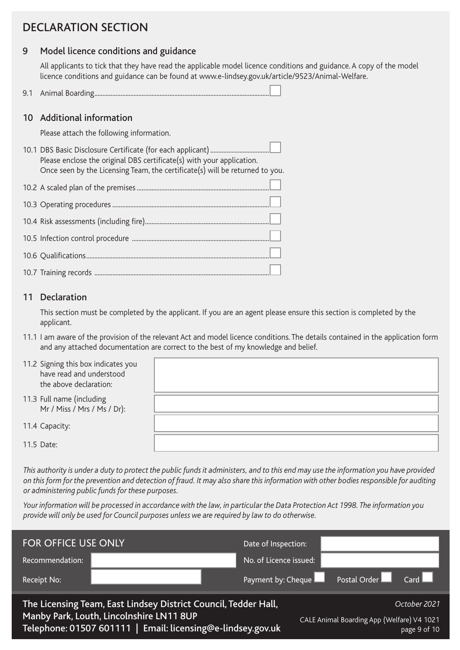# DECLARATION SECTION

### 9 Model licence conditions and guidance

All applicants to tick that they have read the applicable model licence conditions and guidance. A copy of the model licence conditions and guidance can be found at www.e-lindsey.gov.uk/article/9523/Animal-Welfare.

9.1 Animal Boarding...........................................................................................................

#### 10 Additional information

Please attach the following information.

10.1 DBS Basic Disclosure Certificate (for each applicant).................................... Please enclose the original DBS certificate(s) with your application. Once seen by the Licensing Team, the certificate(s) will be returned to you.

#### 11 Declaration

This section must be completed by the applicant. If you are an agent please ensure this section is completed by the applicant.

11.1 I am aware of the provision of the relevant Act and model licence conditions. The details contained in the application form and any attached documentation are correct to the best of my knowledge and belief.

| 11.2 Signing this box indicates you<br>have read and understood<br>the above declaration: |  |
|-------------------------------------------------------------------------------------------|--|
| 11.3 Full name (including<br>Mr / Miss / Mrs / Ms / Dr):                                  |  |
| 11.4 Capacity:                                                                            |  |
| 11.5 Date:                                                                                |  |

*This authority is under a duty to protect the public funds it administers, and to this end may use the information you have provided on this form for the prevention and detection of fraud. It may also share this information with other bodies responsible for auditing or administering public funds for these purposes.* 

*Your information will be processed in accordance with the law, in particular the Data Protection Act 1998. The information you provide will only be used for Council purposes unless we are required by law to do otherwise.*

| <b>FOR OFFICE USE ONLY</b> |                                                                                                                                                                            | Date of Inspection:    |                                            |                              |
|----------------------------|----------------------------------------------------------------------------------------------------------------------------------------------------------------------------|------------------------|--------------------------------------------|------------------------------|
| Recommendation:            |                                                                                                                                                                            | No. of Licence issued: |                                            |                              |
| Receipt No:                |                                                                                                                                                                            | Payment by: Cheque     | Postal Order Card                          |                              |
|                            | The Licensing Team, East Lindsey District Council, Tedder Hall,<br>Manby Park, Louth, Lincolnshire LN11 8UP<br>Telephone: 01507 601111   Email: licensing@e-lindsey.gov.uk |                        | CALE Animal Boarding App (Welfare) V4 1021 | October 2021<br>page 9 of 10 |